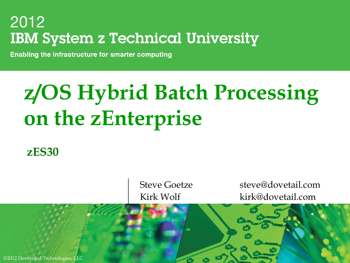**Enabling the infrastructure for smarter computing** 

# **z/OS Hybrid Batch Processing on the zEnterprise**

**zES30**

Steve Goetze steve@dovetail.com Kirk Wolf kirk@dovetail.com

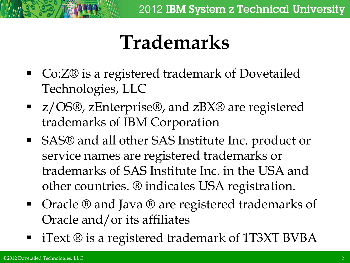## **Trademarks**

- Co:Z® is a registered trademark of Dovetailed Technologies, LLC
- z/OS®, zEnterprise®, and zBX® are registered trademarks of IBM Corporation
- SAS® and all other SAS Institute Inc. product or service names are registered trademarks or trademarks of SAS Institute Inc. in the USA and other countries. ® indicates USA registration.
- Oracle ® and Java ® are registered trademarks of Oracle and/or its affiliates
- iText ® is a registered trademark of 1T3XT BVBA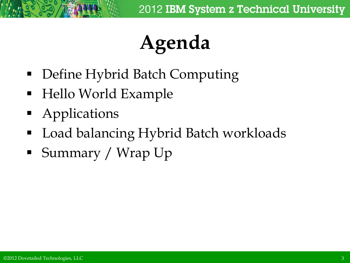# **Agenda**

- Define Hybrid Batch Computing
- Hello World Example
- **Applications**
- Load balancing Hybrid Batch workloads
- **Summary / Wrap Up**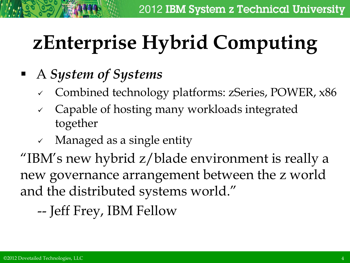# **zEnterprise Hybrid Computing**

## A *System of Systems*

- Combined technology platforms: zSeries, POWER, x86
- $\checkmark$  Capable of hosting many workloads integrated together
- $\checkmark$  Managed as a single entity

"IBM's new hybrid z/blade environment is really a new governance arrangement between the z world and the distributed systems world."

-- Jeff Frey, IBM Fellow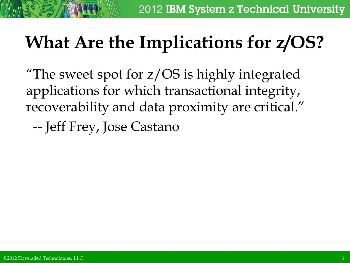## **What Are the Implications for z/OS?**

"The sweet spot for z/OS is highly integrated applications for which transactional integrity, recoverability and data proximity are critical." -- Jeff Frey, Jose Castano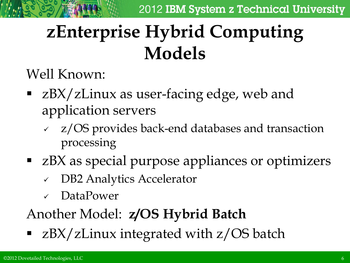## **zEnterprise Hybrid Computing Models**

Well Known:

- **EX/zLinux as user-facing edge, web and** application servers
	- z/OS provides back-end databases and transaction processing
- zBX as special purpose appliances or optimizers
	- DB2 Analytics Accelerator
	- DataPower

## Another Model: **z/OS Hybrid Batch**

■ zBX/zLinux integrated with z/OS batch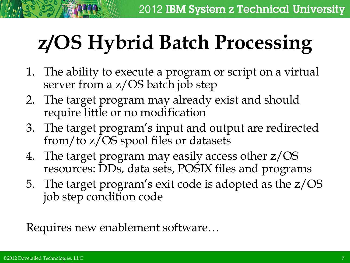# **z/OS Hybrid Batch Processing**

- 1. The ability to execute a program or script on a virtual server from a z/OS batch job step
- 2. The target program may already exist and should require little or no modification
- 3. The target program's input and output are redirected from/to z/OS spool files or datasets
- 4. The target program may easily access other z/OS resources: DDs, data sets, POSIX files and programs
- 5. The target program's exit code is adopted as the z/OS job step condition code

Requires new enablement software…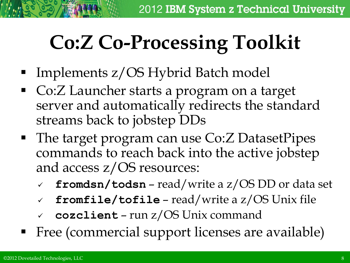# **Co:Z Co-Processing Toolkit**

- Implements z/OS Hybrid Batch model
- Co:Z Launcher starts a program on a target server and automatically redirects the standard streams back to jobstep DDs
- The target program can use Co: Z Dataset Pipes commands to reach back into the active jobstep and access z/OS resources:
	- **fromdsn/todsn** read/write a z/OS DD or data set
	- **fromfile/tofile** read/write a z/OS Unix file
	- **cozclient** run z/OS Unix command
- Free (commercial support licenses are available)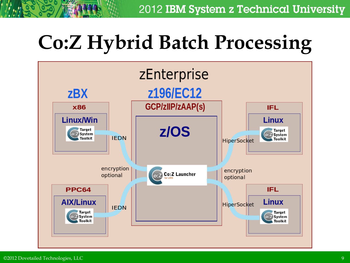# **Co:Z Hybrid Batch Processing**

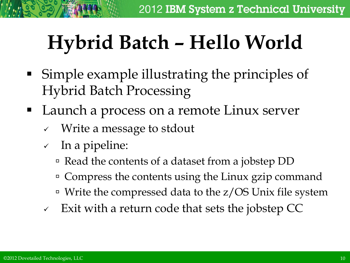# **Hybrid Batch – Hello World**

- Simple example illustrating the principles of Hybrid Batch Processing
- Launch a process on a remote Linux server
	- Write a message to stdout
	- $\checkmark$  In a pipeline:
		- Read the contents of a dataset from a jobstep DD
		- <sup>o</sup> Compress the contents using the Linux gzip command
		- Write the compressed data to the z/OS Unix file system
	- $\sim$  Exit with a return code that sets the jobstep CC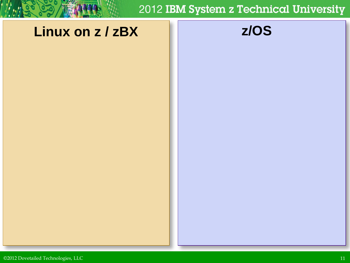### **Linux on z / zBX z/OS**

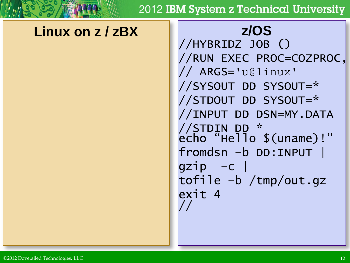### **Linux on z / zBX z/OS**

//HYBRIDZ JOB () //RUN EXEC PROC=COZPROC, // ARGS='u@linux' //SYSOUT DD SYSOUT=\* //STDOUT DD SYSOUT=\* //INPUT DD DSN=MY.DATA //STDIN DD \* echo "Hello \$(uname)!" fromdsn –b DD:INPUT | gzip –c | tofile –b /tmp/out.gz exit 4 //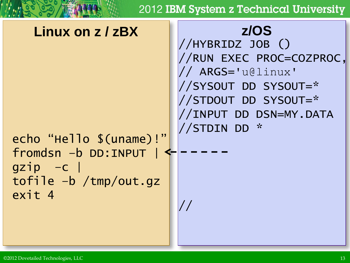### //HYBRIDZ JOB () //RUN EXEC PROC=COZPROC, // ARGS='u@linux' //SYSOUT DD SYSOUT=\* //STDOUT DD SYSOUT=\* //INPUT DD DSN=MY.DATA //STDIN DD \* echo "Hello \$(uname)!" fromdsn –b DD:INPUT |  $gzip -c$ tofile –b /tmp/out.gz exit 4 // **Linux on z / zBX z/OS**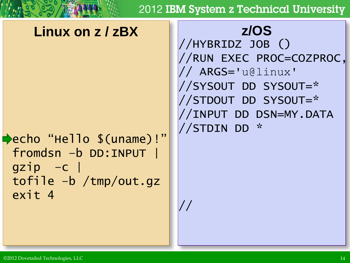//

### **Linux on z / zBX z/OS**

echo "Hello \$(uname)!" fromdsn –b DD:INPUT | gzip –c | tofile –b /tmp/out.gz exit 4

//HYBRIDZ JOB () //RUN EXEC PROC=COZPROC, // ARGS='u@linux' //SYSOUT DD SYSOUT=\* //STDOUT DD SYSOUT=\* //INPUT DD DSN=MY.DATA //STDIN DD \*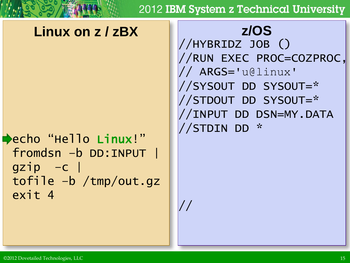//

### **Linux on z / zBX z/OS**

echo "Hello Linux!" fromdsn –b DD:INPUT |  $gzip -c$ tofile –b /tmp/out.gz exit 4

//HYBRIDZ JOB () //RUN EXEC PROC=COZPROC, // ARGS='u@linux' //SYSOUT DD SYSOUT=\* //STDOUT DD SYSOUT=\* //INPUT DD DSN=MY.DATA //STDIN DD \*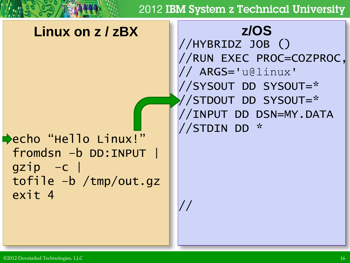//

### **Linux on z / zBX z/OS**

echo "Hello Linux!" fromdsn –b DD:INPUT |  $gzip -c$ tofile –b /tmp/out.gz exit 4

//HYBRIDZ JOB () //RUN EXEC PROC=COZPROC, // ARGS='u@linux' //SYSOUT DD SYSOUT=\* //STDOUT DD SYSOUT=\* //INPUT DD DSN=MY.DATA //STDIN DD \*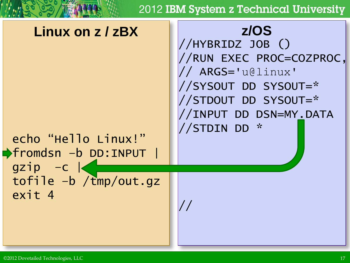//

### **Linux on z / zBX z/OS**

//HYBRIDZ JOB () //RUN EXEC PROC=COZPROC, // ARGS='u@linux' //SYSOUT DD SYSOUT=\* //STDOUT DD SYSOUT=\* //INPUT DD DSN=MY.DATA //STDIN DD \*

echo "Hello Linux!" fromdsn –b DD:INPUT | gzip –c | tofile –b /tmp/out.gz exit 4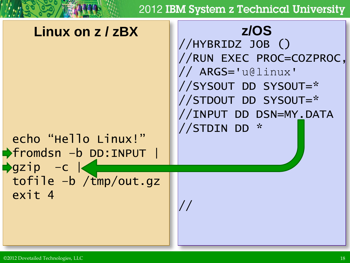### **Linux on z / zBX z/OS**

//HYBRIDZ JOB () //RUN EXEC PROC=COZPROC, // ARGS='u@linux' //SYSOUT DD SYSOUT=\* //STDOUT DD SYSOUT=\* //INPUT DD DSN=MY.DATA //STDIN DD \*

echo "Hello Linux!" fromdsn –b DD:INPUT |  $\rightarrow$ gzip –c  $\mid$ tofile -b /tmp/out.gz exit 4

//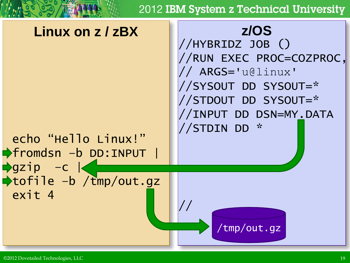### **Linux on z / zBX z/OS**

//HYBRIDZ JOB () //RUN EXEC PROC=COZPROC, // ARGS='u@linux' //SYSOUT DD SYSOUT=\* //STDOUT DD SYSOUT=\* //INPUT DD DSN=MY.DATA //STDIN DD \*

fromdsn –b DD:INPUT |  $\rightarrow$ gzip –c  $\mid$ tofile –b /tmp/out.gz exit 4

echo "Hello Linux!"

//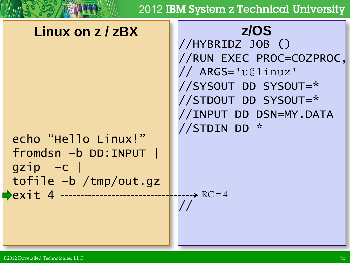### **Linux on z / zBX z/OS**

echo "Hello Linux!" fromdsn –b DD:INPUT |  $gzip -c$ tofile –b /tmp/out.gz **Pexit 4 -----**

//HYBRIDZ JOB () //RUN EXEC PROC=COZPROC, // ARGS='u@linux' //SYSOUT DD SYSOUT=\* //STDOUT DD SYSOUT=\* //INPUT DD DSN=MY.DATA //STDIN DD \*

 $\leftarrow$   $\leftarrow$   $RC = 4$ 

//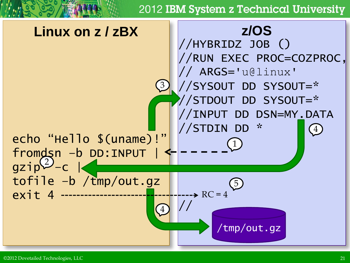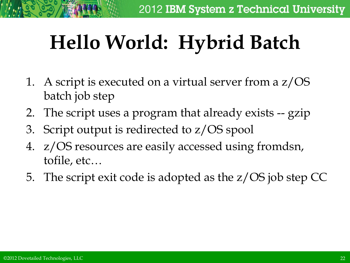# **Hello World: Hybrid Batch**

- 1. A script is executed on a virtual server from a z/OS batch job step
- 2. The script uses a program that already exists -- gzip
- 3. Script output is redirected to z/OS spool
- 4. z/OS resources are easily accessed using fromdsn, tofile, etc…
- 5. The script exit code is adopted as the z/OS job step CC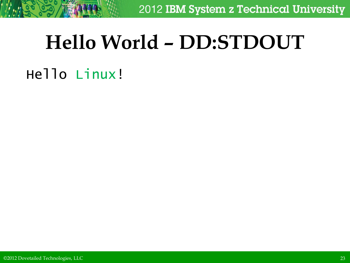## **Hello World – DD:STDOUT**

## Hello Linux!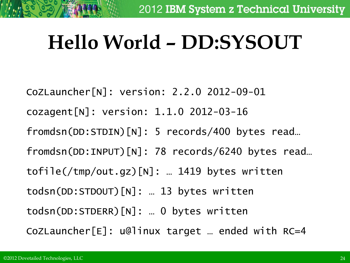## **Hello World – DD:SYSOUT**

CoZLauncher[N]: version: 2.2.0 2012-09-01 cozagent[N]: version: 1.1.0 2012-03-16 fromdsn(DD:STDIN)[N]: 5 records/400 bytes read… fromdsn(DD:INPUT)[N]: 78 records/6240 bytes read… tofile(/tmp/out.gz)[N]: … 1419 bytes written todsn(DD:STDOUT)[N]: … 13 bytes written todsn(DD:STDERR)[N]: … 0 bytes written CoZLauncher[E]: u@linux target … ended with RC=4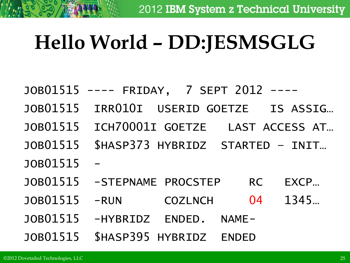## **Hello World – DD:JESMSGLG**

- JOB01515 ---- FRIDAY, 7 SEPT 2012
- JOB01515 IRR010I USERID GOETZE IS ASSIG…
- JOB01515 ICH70001I GOETZE LAST ACCESS AT…
- JOB01515 \$HASP373 HYBRIDZ STARTED INIT…
- JOB01515
- JOB01515 -STEPNAME PROCSTEP RC EXCP…
- JOB01515 -RUN COZLNCH 04 1345…
- JOB01515 -HYBRIDZ ENDED. NAME-
- JOB01515 \$HASP395 HYBRIDZ ENDED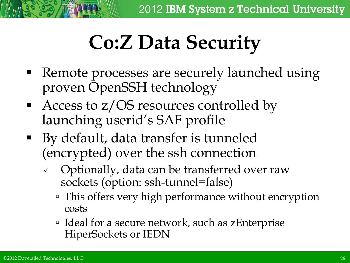# **Co:Z Data Security**

- Remote processes are securely launched using proven OpenSSH technology
- Access to  $z/OS$  resources controlled by launching userid's SAF profile
- By default, data transfer is tunneled (encrypted) over the ssh connection
	- $\vee$  Optionally, data can be transferred over raw sockets (option: ssh-tunnel=false)
		- This offers very high performance without encryption costs
		- □ Ideal for a secure network, such as zEnterprise HiperSockets or IEDN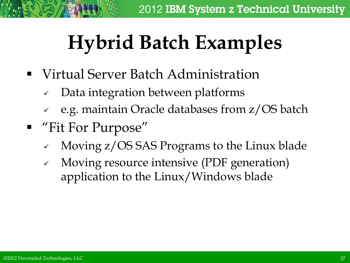# **Hybrid Batch Examples**

- Virtual Server Batch Administration
	- $\vee$  Data integration between platforms
	- e.g. maintain Oracle databases from z/OS batch
- "Fit For Purpose"
	- Moving z/OS SAS Programs to the Linux blade
	- Moving resource intensive (PDF generation) application to the Linux/Windows blade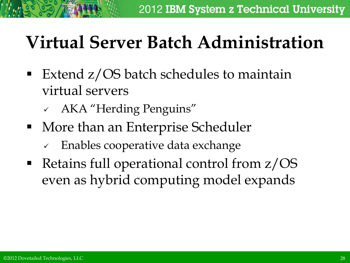## **Virtual Server Batch Administration**

- Extend z/OS batch schedules to maintain virtual servers
	- AKA "Herding Penguins"
- More than an Enterprise Scheduler
	- $\sqrt{ }$  Enables cooperative data exchange
- Retains full operational control from z/OS even as hybrid computing model expands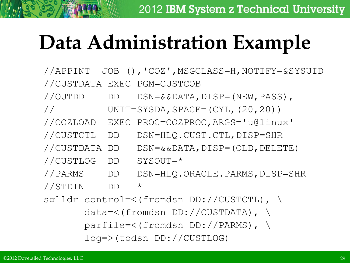# **Data Administration Example**

//APPINT JOB (),'COZ',MSGCLASS=H,NOTIFY=&SYSUID //CUSTDATA EXEC PGM=CUSTCOB //OUTDD DD DSN=&&DATA,DISP=(NEW,PASS), // UNIT=SYSDA,SPACE=(CYL,(20,20)) //COZLOAD EXEC PROC=COZPROC,ARGS='u@linux' //CUSTCTL DD DSN=HLQ.CUST.CTL,DISP=SHR //CUSTDATA DD DSN=&&DATA,DISP=(OLD,DELETE) //CUSTLOG DD SYSOUT=\* //PARMS DD DSN=HLQ.ORACLE.PARMS,DISP=SHR //STDIN DD \* sqlldr control=<(fromdsn DD://CUSTCTL), \ data=<(fromdsn DD://CUSTDATA), \ parfile=<(fromdsn DD://PARMS), \ log=>(todsn DD://CUSTLOG)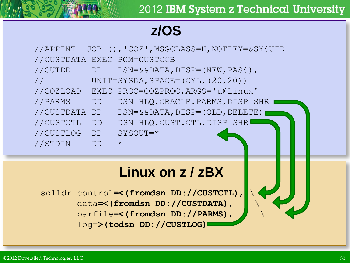### **z/OS**

| //APPINT   |           | JOB (), 'COZ', MSGCLASS=H, NOTIFY=&SYSUID       |
|------------|-----------|-------------------------------------------------|
|            |           | //CUSTDATA EXEC PGM=CUSTCOB                     |
| //OUTDD    | DD        | $DSN = \&\ \& DATA, DISP = (NEW, PASS)$ ,       |
|            |           | UNIT=SYSDA, SPACE= $(CYL, (20, 20))$            |
| //COZLOAD  |           | EXEC PROC=COZPROC, ARGS='u@linux'               |
| //PARMS    | DD.       | DSN=HLQ.ORACLE.PARMS, DISP=SHR                  |
| //CUSTDATA | <b>DD</b> | $DSN = \&\ \& DATA$ , $DISP = (OLD$ , $DELETE)$ |
| //CUSTCTL  | <b>DD</b> | DSN=HLQ.CUST.CTL, DISP=SHR                      |
| //CUSTLOG  | <b>DD</b> | SYSOUT=*                                        |
| //STDIN    | DD        | $\star$                                         |

### **Linux on z / zBX**

sqlldr control**=<(fromdsn DD://CUSTCTL)**, \ data**=<(fromdsn DD://CUSTDATA)**, \ parfile=**<(fromdsn DD://PARMS)**, \ log=**>(todsn DD://CUSTLOG)**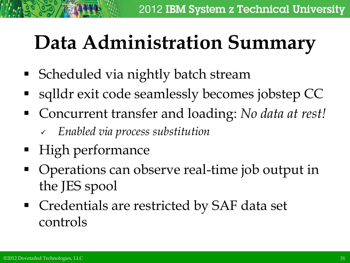## **Data Administration Summary**

- **Scheduled via nightly batch stream**
- sqlldr exit code seamlessly becomes jobstep CC
- Concurrent transfer and loading: *No data at rest!*
	- *Enabled via process substitution*
- High performance
- Operations can observe real-time job output in the JES spool
- Credentials are restricted by SAF data set controls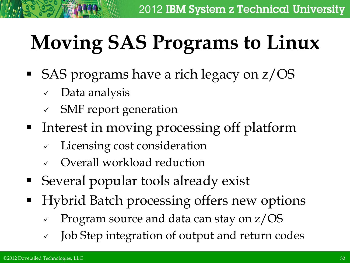# **Moving SAS Programs to Linux**

- SAS programs have a rich legacy on  $z/OS$ 
	- Data analysis
	- SMF report generation
- **Interest in moving processing off platform** 
	- $\checkmark$  Licensing cost consideration
	- Overall workload reduction
- Several popular tools already exist
- **•** Hybrid Batch processing offers new options
	- Program source and data can stay on z/OS
	- Job Step integration of output and return codes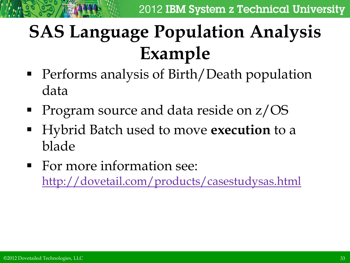## **SAS Language Population Analysis Example**

- Performs analysis of Birth/Death population data
- Program source and data reside on  $z/OS$
- Hybrid Batch used to move **execution** to a blade
- **For more information see:** <http://dovetail.com/products/casestudysas.html>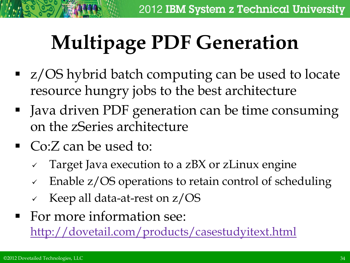# **Multipage PDF Generation**

- **z/OS** hybrid batch computing can be used to locate resource hungry jobs to the best architecture
- Java driven PDF generation can be time consuming on the zSeries architecture
- Co:Z can be used to:
	- Target Java execution to a zBX or zLinux engine
	- Enable z/OS operations to retain control of scheduling
	- Keep all data-at-rest on z/OS
- For more information see: <http://dovetail.com/products/casestudyitext.html>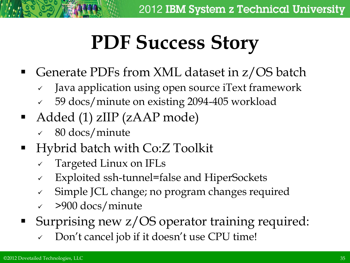## **PDF Success Story**

- Generate PDFs from XML dataset in z/OS batch
	- Java application using open source iText framework
	- 59 docs/minute on existing 2094-405 workload
- Added (1) zIIP (zAAP mode)
	- 80 docs/minute
- Hybrid batch with Co:Z Toolkit
	- Targeted Linux on IFLs
	- Exploited ssh-tunnel=false and HiperSockets
	- $\checkmark$  Simple JCL change; no program changes required
	- >900 docs/minute
- Surprising new z/OS operator training required:
	- Don't cancel job if it doesn't use CPU time!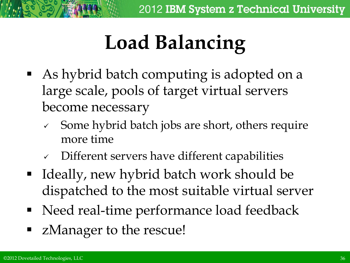# **Load Balancing**

- As hybrid batch computing is adopted on a large scale, pools of target virtual servers become necessary
	- $\sim$  Some hybrid batch jobs are short, others require more time
	- $\checkmark$  Different servers have different capabilities
- Ideally, new hybrid batch work should be dispatched to the most suitable virtual server
- Need real-time performance load feedback
- zManager to the rescue!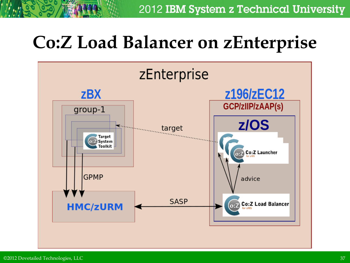## **Co:Z Load Balancer on zEnterprise**

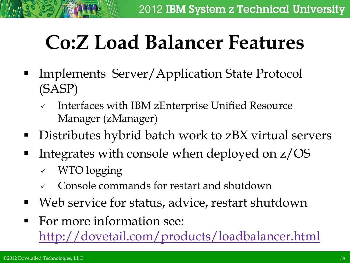## **Co:Z Load Balancer Features**

- Implements Server/Application State Protocol (SASP)
	- $\sqrt{ }$  Interfaces with IBM zEnterprise Unified Resource Manager (zManager)
- Distributes hybrid batch work to zBX virtual servers
- Integrates with console when deployed on  $z/OS$ 
	- WTO logging
	- Console commands for restart and shutdown
- Web service for status, advice, restart shutdown
- For more information see:

<http://dovetail.com/products/loadbalancer.html>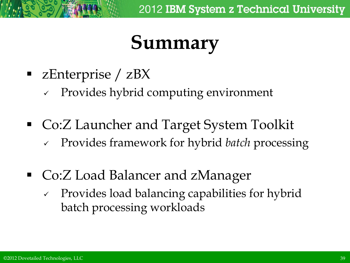## **Summary**

- zEnterprise / zBX
	- $\vee$  Provides hybrid computing environment
- Co:Z Launcher and Target System Toolkit
	- Provides framework for hybrid *batch* processing
- Co:Z Load Balancer and zManager
	- $\vee$  Provides load balancing capabilities for hybrid batch processing workloads